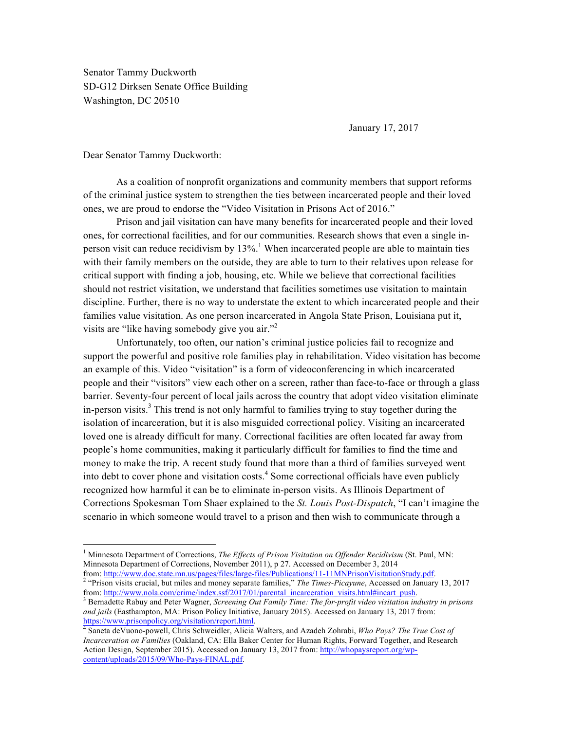Senator Tammy Duckworth SD-G12 Dirksen Senate Office Building Washington, DC 20510

January 17, 2017

Dear Senator Tammy Duckworth:

As a coalition of nonprofit organizations and community members that support reforms of the criminal justice system to strengthen the ties between incarcerated people and their loved ones, we are proud to endorse the "Video Visitation in Prisons Act of 2016."

Prison and jail visitation can have many benefits for incarcerated people and their loved ones, for correctional facilities, and for our communities. Research shows that even a single inperson visit can reduce recidivism by  $13\%$ <sup>1</sup>. When incarcerated people are able to maintain ties with their family members on the outside, they are able to turn to their relatives upon release for critical support with finding a job, housing, etc. While we believe that correctional facilities should not restrict visitation, we understand that facilities sometimes use visitation to maintain discipline. Further, there is no way to understate the extent to which incarcerated people and their families value visitation. As one person incarcerated in Angola State Prison, Louisiana put it, visits are "like having somebody give you air."<sup>2</sup>

Unfortunately, too often, our nation's criminal justice policies fail to recognize and support the powerful and positive role families play in rehabilitation. Video visitation has become an example of this. Video "visitation" is a form of videoconferencing in which incarcerated people and their "visitors" view each other on a screen, rather than face-to-face or through a glass barrier. Seventy-four percent of local jails across the country that adopt video visitation eliminate in-person visits.<sup>3</sup> This trend is not only harmful to families trying to stay together during the isolation of incarceration, but it is also misguided correctional policy. Visiting an incarcerated loved one is already difficult for many. Correctional facilities are often located far away from people's home communities, making it particularly difficult for families to find the time and money to make the trip. A recent study found that more than a third of families surveyed went into debt to cover phone and visitation costs.<sup>4</sup> Some correctional officials have even publicly recognized how harmful it can be to eliminate in-person visits. As Illinois Department of Corrections Spokesman Tom Shaer explained to the *St. Louis Post-Dispatch*, "I can't imagine the scenario in which someone would travel to a prison and then wish to communicate through a

 <sup>1</sup> Minnesota Department of Corrections, *The Effects of Prison Visitation on Offender Recidivism* (St. Paul, MN: Minnesota Department of Corrections, November 2011), p 27. Accessed on December 3, 2014<br>from: http://www.doc.state.mn.us/pages/files/large-files/Publications/11-11MNPrisonVisitationStudy.pdf.

<sup>&</sup>lt;sup>2</sup> "Prison visits crucial, but miles and money separate families," *The Times-Picayune*, Accessed on January 13, 2017<br>from: http://www.nola.com/crime/index.ssf/2017/01/parental incarceration visits.html#incart push.

<sup>&</sup>lt;sup>3</sup> Bernadette Rabuy and Peter Wagner, *Screening Out Family Time: The for-profit video visitation industry in prisons and jails* (Easthampton, MA: Prison Policy Initiative, January 2015). Accessed on January 13, 2017 from: https://www.prisonpolicy.org/visitation/report.html. 4 Saneta deVuono-powell, Chris Schweidler, Alicia Walters, and Azadeh Zohrabi, *Who Pays? The True Cost of* 

*Incarceration on Families* (Oakland, CA: Ella Baker Center for Human Rights, Forward Together, and Research Action Design, September 2015). Accessed on January 13, 2017 from: http://whopaysreport.org/wpcontent/uploads/2015/09/Who-Pays-FINAL.pdf.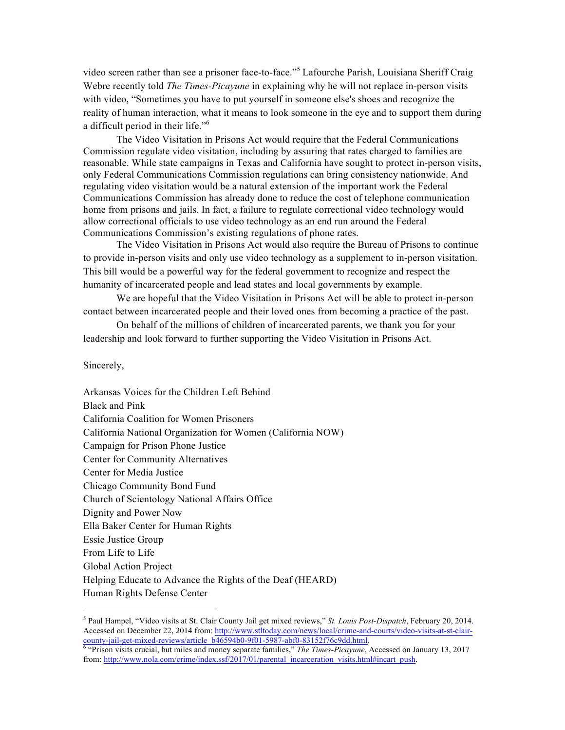video screen rather than see a prisoner face-to-face."<sup>5</sup> Lafourche Parish, Louisiana Sheriff Craig Webre recently told *The Times-Picayune* in explaining why he will not replace in-person visits with video, "Sometimes you have to put yourself in someone else's shoes and recognize the reality of human interaction, what it means to look someone in the eye and to support them during a difficult period in their life."<sup>6</sup>

The Video Visitation in Prisons Act would require that the Federal Communications Commission regulate video visitation, including by assuring that rates charged to families are reasonable. While state campaigns in Texas and California have sought to protect in-person visits, only Federal Communications Commission regulations can bring consistency nationwide. And regulating video visitation would be a natural extension of the important work the Federal Communications Commission has already done to reduce the cost of telephone communication home from prisons and jails. In fact, a failure to regulate correctional video technology would allow correctional officials to use video technology as an end run around the Federal Communications Commission's existing regulations of phone rates.

The Video Visitation in Prisons Act would also require the Bureau of Prisons to continue to provide in-person visits and only use video technology as a supplement to in-person visitation. This bill would be a powerful way for the federal government to recognize and respect the humanity of incarcerated people and lead states and local governments by example.

We are hopeful that the Video Visitation in Prisons Act will be able to protect in-person contact between incarcerated people and their loved ones from becoming a practice of the past.

On behalf of the millions of children of incarcerated parents, we thank you for your leadership and look forward to further supporting the Video Visitation in Prisons Act.

Sincerely,

Arkansas Voices for the Children Left Behind Black and Pink California Coalition for Women Prisoners California National Organization for Women (California NOW) Campaign for Prison Phone Justice Center for Community Alternatives Center for Media Justice Chicago Community Bond Fund Church of Scientology National Affairs Office Dignity and Power Now Ella Baker Center for Human Rights Essie Justice Group From Life to Life Global Action Project Helping Educate to Advance the Rights of the Deaf (HEARD) Human Rights Defense Center

 <sup>5</sup> Paul Hampel, "Video visits at St. Clair County Jail get mixed reviews," *St. Louis Post-Dispatch*, February 20, 2014. Accessed on December 22, 2014 from: http://www.stltoday.com/news/local/crime-and-courts/video-visits-at-st-claircounty-jail-get-mixed-reviews/article\_b46594b0-9f01-5987-abf0-83152f76c9dd.html.<br><sup>6</sup> "Prison visits crucial, but miles and money separate families," *The Times-Picayune*, Accessed on January 13, 2017

from: http://www.nola.com/crime/index.ssf/2017/01/parental\_incarceration\_visits.html#incart\_push.